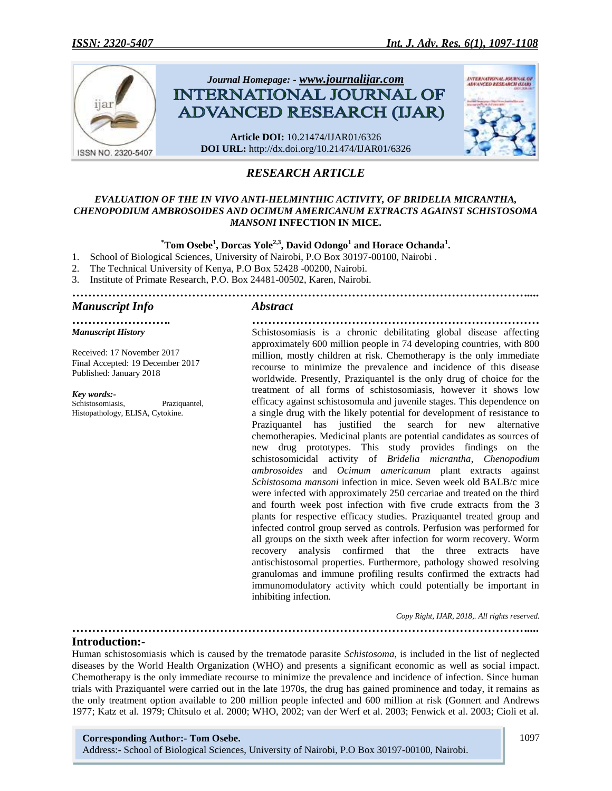

# *RESEARCH ARTICLE*

#### *EVALUATION OF THE IN VIVO ANTI-HELMINTHIC ACTIVITY, OF BRIDELIA MICRANTHA, CHENOPODIUM AMBROSOIDES AND OCIMUM AMERICANUM EXTRACTS AGAINST SCHISTOSOMA MANSONI* **INFECTION IN MICE.**

### $^{\ast}$ Tom Osebe<sup>1</sup>, Dorcas Yole<sup>2,3</sup>, David Odongo<sup>1</sup> and Horace Ochanda<sup>1</sup>.

*……………………………………………………………………………………………………....*

*……………………. ………………………………………………………………*

- 1. School of Biological Sciences, University of Nairobi, P.O Box 30197-00100, Nairobi .
- 2. The Technical University of Kenya, P.O Box 52428 -00200, Nairobi.
- 3. Institute of Primate Research, P.O. Box 24481-00502, Karen, Nairobi.

## *Manuscript Info Abstract*

*Manuscript History*

Received: 17 November 2017 Final Accepted: 19 December 2017 Published: January 2018

#### *Key words:-*

Schistosomiasis, Praziquantel, Histopathology, ELISA, Cytokine.

Schistosomiasis is a chronic debilitating global disease affecting approximately 600 million people in 74 developing countries, with 800 million, mostly children at risk. Chemotherapy is the only immediate recourse to minimize the prevalence and incidence of this disease worldwide. Presently, Praziquantel is the only drug of choice for the treatment of all forms of schistosomiasis, however it shows low efficacy against schistosomula and juvenile stages. This dependence on a single drug with the likely potential for development of resistance to Praziquantel has justified the search for new alternative chemotherapies. Medicinal plants are potential candidates as sources of new drug prototypes. This study provides findings on the schistosomicidal activity of *Bridelia micrantha*, *Chenopodium ambrosoides* and *Ocimum americanum* plant extracts against *Schistosoma mansoni* infection in mice. Seven week old BALB/c mice were infected with approximately 250 cercariae and treated on the third and fourth week post infection with five crude extracts from the 3 plants for respective efficacy studies. Praziquantel treated group and infected control group served as controls. Perfusion was performed for all groups on the sixth week after infection for worm recovery. Worm recovery analysis confirmed that the three extracts have antischistosomal properties. Furthermore, pathology showed resolving granulomas and immune profiling results confirmed the extracts had immunomodulatory activity which could potentially be important in inhibiting infection.

 *Copy Right, IJAR, 2018,. All rights reserved.*

#### **Introduction:-**

Human schistosomiasis which is caused by the trematode parasite *Schistosoma*, is included in the list of neglected diseases by the World Health Organization (WHO) and presents a significant economic as well as social impact. Chemotherapy is the only immediate recourse to minimize the prevalence and incidence of infection. Since human trials with Praziquantel were carried out in the late 1970s, the drug has gained prominence and today, it remains as the only treatment option available to 200 million people infected and 600 million at risk (Gonnert and Andrews 1977; Katz et al. 1979; Chitsulo et al. 2000; WHO, 2002; van der Werf et al. 2003; Fenwick et al. 2003; Cioli et al.

*……………………………………………………………………………………………………....*

#### **Corresponding Author:- Tom Osebe.**

Address:- School of Biological Sciences, University of Nairobi, P.O Box 30197-00100, Nairobi.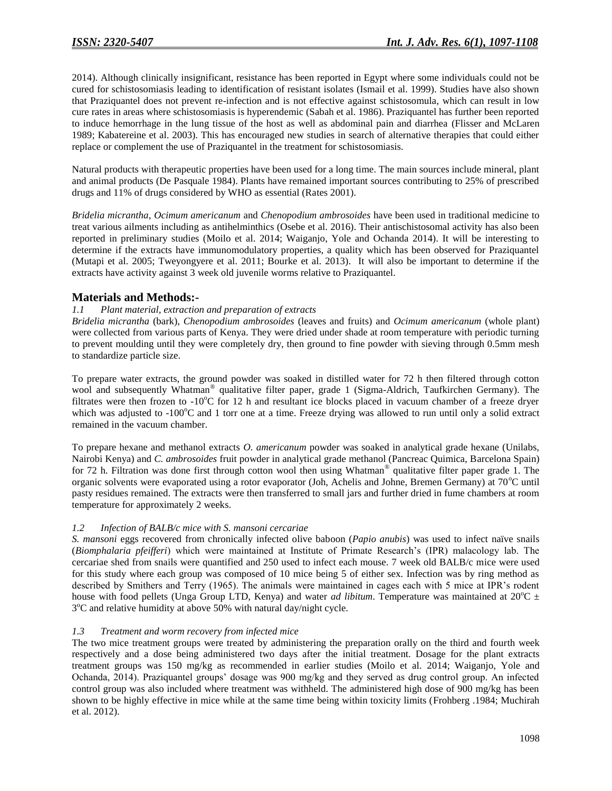2014). Although clinically insignificant, resistance has been reported in Egypt where some individuals could not be cured for schistosomiasis leading to identification of resistant isolates (Ismail et al. 1999). Studies have also shown that Praziquantel does not prevent re-infection and is not effective against schistosomula, which can result in low cure rates in areas where schistosomiasis is hyperendemic (Sabah et al. 1986). Praziquantel has further been reported to induce hemorrhage in the lung tissue of the host as well as abdominal pain and diarrhea (Flisser and McLaren 1989; Kabatereine et al. 2003). This has encouraged new studies in search of alternative therapies that could either replace or complement the use of Praziquantel in the treatment for schistosomiasis.

Natural products with therapeutic properties have been used for a long time. The main sources include mineral, plant and animal products (De Pasquale 1984). Plants have remained important sources contributing to 25% of prescribed drugs and 11% of drugs considered by WHO as essential (Rates 2001).

*Bridelia micrantha*, *Ocimum americanum* and *Chenopodium ambrosoides* have been used in traditional medicine to treat various ailments including as antihelminthics (Osebe et al. 2016). Their antischistosomal activity has also been reported in preliminary studies (Moilo et al. 2014; Waiganjo, Yole and Ochanda 2014). It will be interesting to determine if the extracts have immunomodulatory properties, a quality which has been observed for Praziquantel (Mutapi et al. 2005; Tweyongyere et al. 2011; Bourke et al. 2013). It will also be important to determine if the extracts have activity against 3 week old juvenile worms relative to Praziquantel.

## **Materials and Methods:-**

### *1.1 Plant material, extraction and preparation of extracts*

*Bridelia micrantha* (bark), *Chenopodium ambrosoides* (leaves and fruits) and *Ocimum americanum* (whole plant) were collected from various parts of Kenya. They were dried under shade at room temperature with periodic turning to prevent moulding until they were completely dry, then ground to fine powder with sieving through 0.5mm mesh to standardize particle size.

To prepare water extracts, the ground powder was soaked in distilled water for 72 h then filtered through cotton wool and subsequently Whatman® qualitative filter paper, grade 1 (Sigma-Aldrich, Taufkirchen Germany). The filtrates were then frozen to  $-10^{\circ}$ C for 12 h and resultant ice blocks placed in vacuum chamber of a freeze dryer which was adjusted to  $-100^{\circ}$ C and 1 torr one at a time. Freeze drying was allowed to run until only a solid extract remained in the vacuum chamber.

To prepare hexane and methanol extracts *O. americanum* powder was soaked in analytical grade hexane (Unilabs, Nairobi Kenya) and *C. ambrosoides* fruit powder in analytical grade methanol (Pancreac Quimica, Barcelona Spain) for 72 h. Filtration was done first through cotton wool then using Whatman® qualitative filter paper grade 1. The organic solvents were evaporated using a rotor evaporator (Joh, Achelis and Johne, Bremen Germany) at  $70^{\circ}$ C until pasty residues remained. The extracts were then transferred to small jars and further dried in fume chambers at room temperature for approximately 2 weeks.

#### *1.2 Infection of BALB/c mice with S. mansoni cercariae*

*S. mansoni* eggs recovered from chronically infected olive baboon (*Papio anubis*) was used to infect naïve snails (*Biomphalaria pfeifferi*) which were maintained at Institute of Primate Research's (IPR) malacology lab. The cercariae shed from snails were quantified and 250 used to infect each mouse. 7 week old BALB/c mice were used for this study where each group was composed of 10 mice being 5 of either sex. Infection was by ring method as described by Smithers and Terry (1965). The animals were maintained in cages each with 5 mice at IPR's rodent house with food pellets (Unga Group LTD, Kenya) and water *ad libitum*. Temperature was maintained at  $20^{\circ}C \pm$ 3<sup>o</sup>C and relative humidity at above 50% with natural day/night cycle.

#### *1.3 Treatment and worm recovery from infected mice*

The two mice treatment groups were treated by administering the preparation orally on the third and fourth week respectively and a dose being administered two days after the initial treatment. Dosage for the plant extracts treatment groups was 150 mg/kg as recommended in earlier studies (Moilo et al. 2014; Waiganjo, Yole and Ochanda, 2014). Praziquantel groups' dosage was 900 mg/kg and they served as drug control group. An infected control group was also included where treatment was withheld. The administered high dose of 900 mg/kg has been shown to be highly effective in mice while at the same time being within toxicity limits (Frohberg .1984; Muchirah et al. 2012).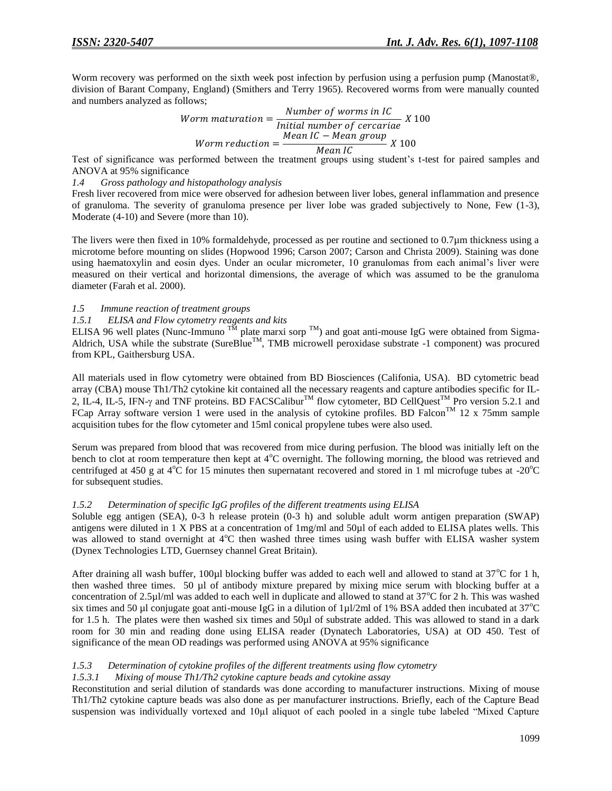Worm recovery was performed on the sixth week post infection by perfusion using a perfusion pump (Manostat®, division of Barant Company, England) (Smithers and Terry 1965). Recovered worms from were manually counted and numbers analyzed as follows;

*Worm maturation* = 
$$
\frac{Number\ of\ worms\ in\ IC}{Initial\ number\ of\ cercariae} \ X\ 100
$$
  
*Worm reduction* = 
$$
\frac{Mean\ IC - Mean\ group}{Mean\ IC} \ X\ 100
$$

Test of significance was performed between the treatment groups using student's t-test for paired samples and ANOVA at 95% significance

*1.4 Gross pathology and histopathology analysis*

Fresh liver recovered from mice were observed for adhesion between liver lobes, general inflammation and presence of granuloma. The severity of granuloma presence per liver lobe was graded subjectively to None, Few (1-3), Moderate (4-10) and Severe (more than 10).

The livers were then fixed in 10% formaldehyde, processed as per routine and sectioned to 0.7µm thickness using a microtome before mounting on slides (Hopwood 1996; Carson 2007; Carson and Christa 2009). Staining was done using haematoxylin and eosin dyes. Under an ocular micrometer, 10 granulomas from each animal's liver were measured on their vertical and horizontal dimensions, the average of which was assumed to be the granuloma diameter (Farah et al. 2000).

#### *1.5 Immune reaction of treatment groups*

#### *1.5.1 ELISA and Flow cytometry reagents and kits*

ELISA 96 well plates (Nunc-Immuno  $^{TM}$  plate marxi sorp  $^{TM}$ ) and goat anti-mouse IgG were obtained from Sigma-Aldrich, USA while the substrate (SureBlue<sup>TM</sup>, TMB microwell peroxidase substrate -1 component) was procured from KPL, Gaithersburg USA.

All materials used in flow cytometry were obtained from BD Biosciences (Califonia, USA). BD cytometric bead array (CBA) mouse Th1/Th2 cytokine kit contained all the necessary reagents and capture antibodies specific for IL-2, IL-4, IL-5, IFN- $\gamma$  and TNF proteins. BD FACSCalibur<sup>TM</sup> flow cytometer, BD CellQuest<sup>TM</sup> Pro version 5.2.1 and FCap Array software version 1 were used in the analysis of cytokine profiles. BD Falcon<sup>TM</sup> 12 x 75mm sample acquisition tubes for the flow cytometer and 15ml conical propylene tubes were also used.

Serum was prepared from blood that was recovered from mice during perfusion. The blood was initially left on the bench to clot at room temperature then kept at 4<sup>o</sup>C overnight. The following morning, the blood was retrieved and centrifuged at 450 g at  $4^{\circ}$ C for 15 minutes then supernatant recovered and stored in 1 ml microfuge tubes at -20 $^{\circ}$ C for subsequent studies.

#### *1.5.2 Determination of specific IgG profiles of the different treatments using ELISA*

Soluble egg antigen (SEA), 0-3 h release protein (0-3 h) and soluble adult worm antigen preparation (SWAP) antigens were diluted in 1 X PBS at a concentration of 1mg/ml and 50µl of each added to ELISA plates wells. This was allowed to stand overnight at  $4^{\circ}$ C then washed three times using wash buffer with ELISA washer system (Dynex Technologies LTD, Guernsey channel Great Britain).

After draining all wash buffer, 100µl blocking buffer was added to each well and allowed to stand at  $37^{\circ}$ C for 1 h, then washed three times. 50 µl of antibody mixture prepared by mixing mice serum with blocking buffer at a concentration of 2.5 $\mu$ l/ml was added to each well in duplicate and allowed to stand at 37 $\degree$ C for 2 h. This was washed six times and 50 µl conjugate goat anti-mouse IgG in a dilution of 1µl/2ml of 1% BSA added then incubated at  $37^{\circ}$ C for 1.5 h. The plates were then washed six times and 50µl of substrate added. This was allowed to stand in a dark room for 30 min and reading done using ELISA reader (Dynatech Laboratories, USA) at OD 450. Test of significance of the mean OD readings was performed using ANOVA at 95% significance

#### *1.5.3 Determination of cytokine profiles of the different treatments using flow cytometry*

#### *1.5.3.1 Mixing of mouse Th1/Th2 cytokine capture beads and cytokine assay*

Reconstitution and serial dilution of standards was done according to manufacturer instructions. Mixing of mouse Th1/Th2 cytokine capture beads was also done as per manufacturer instructions. Briefly, each of the Capture Bead suspension was individually vortexed and 10µl aliquot of each pooled in a single tube labeled "Mixed Capture"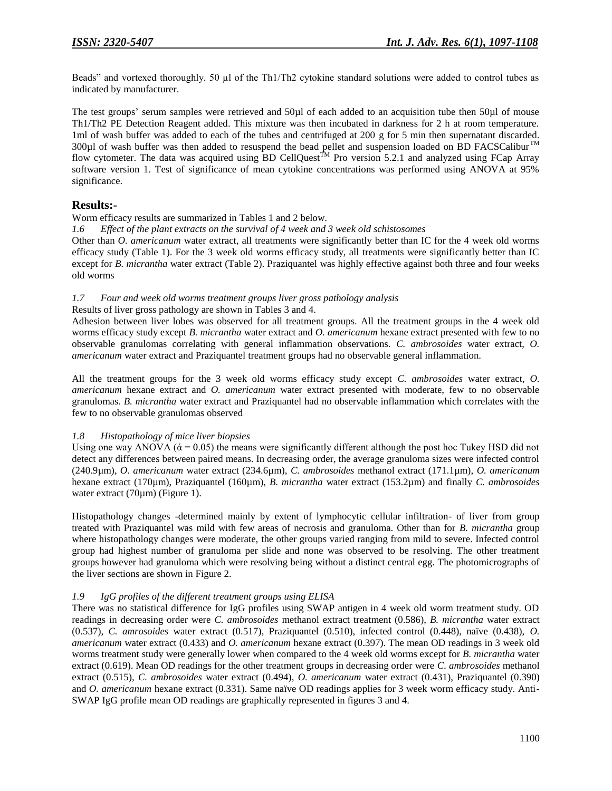Beads" and vortexed thoroughly. 50 µl of the Th1/Th2 cytokine standard solutions were added to control tubes as indicated by manufacturer.

The test groups' serum samples were retrieved and 50µl of each added to an acquisition tube then 50µl of mouse Th1/Th2 PE Detection Reagent added. This mixture was then incubated in darkness for 2 h at room temperature. 1ml of wash buffer was added to each of the tubes and centrifuged at 200 g for 5 min then supernatant discarded. 300 $\mu$ l of wash buffer was then added to resuspend the bead pellet and suspension loaded on BD FACSCalibur<sup>TM</sup> flow cytometer. The data was acquired using BD CellQuest<sup>TM</sup> Pro version 5.2.1 and analyzed using FCap Array software version 1. Test of significance of mean cytokine concentrations was performed using ANOVA at 95% significance.

## **Results:-**

Worm efficacy results are summarized in Tables 1 and 2 below.

*1.6 Effect of the plant extracts on the survival of 4 week and 3 week old schistosomes* 

Other than *O. americanum* water extract, all treatments were significantly better than IC for the 4 week old worms efficacy study (Table 1). For the 3 week old worms efficacy study, all treatments were significantly better than IC except for *B. micrantha* water extract (Table 2). Praziquantel was highly effective against both three and four weeks old worms

#### *1.7 Four and week old worms treatment groups liver gross pathology analysis*

#### Results of liver gross pathology are shown in Tables 3 and 4.

Adhesion between liver lobes was observed for all treatment groups. All the treatment groups in the 4 week old worms efficacy study except *B. micrantha* water extract and *O. americanum* hexane extract presented with few to no observable granulomas correlating with general inflammation observations. *C. ambrosoides* water extract, *O. americanum* water extract and Praziquantel treatment groups had no observable general inflammation.

All the treatment groups for the 3 week old worms efficacy study except *C. ambrosoides* water extract, *O. americanum* hexane extract and *O. americanum* water extract presented with moderate, few to no observable granulomas. *B. micrantha* water extract and Praziquantel had no observable inflammation which correlates with the few to no observable granulomas observed

#### *1.8 Histopathology of mice liver biopsies*

Using one way ANOVA ( $\dot{\alpha}$  = 0.05) the means were significantly different although the post hoc Tukey HSD did not detect any differences between paired means. In decreasing order, the average granuloma sizes were infected control (240.9µm), *O. americanum* water extract (234.6µm), *C. ambrosoides* methanol extract (171.1µm), *O. americanum* hexane extract (170µm), Praziquantel (160µm), *B. micrantha* water extract (153.2µm) and finally *C. ambrosoides* water extract (70µm) (Figure 1).

Histopathology changes -determined mainly by extent of lymphocytic cellular infiltration- of liver from group treated with Praziquantel was mild with few areas of necrosis and granuloma. Other than for *B. micrantha* group where histopathology changes were moderate, the other groups varied ranging from mild to severe. Infected control group had highest number of granuloma per slide and none was observed to be resolving. The other treatment groups however had granuloma which were resolving being without a distinct central egg. The photomicrographs of the liver sections are shown in Figure 2.

#### *1.9 IgG profiles of the different treatment groups using ELISA*

There was no statistical difference for IgG profiles using SWAP antigen in 4 week old worm treatment study. OD readings in decreasing order were *C. ambrosoides* methanol extract treatment (0.586), *B. micrantha* water extract (0.537), *C. amrosoides* water extract (0.517), Praziquantel (0.510), infected control (0.448), naïve (0.438), *O. americanum* water extract (0.433) and *O. americanum* hexane extract (0.397). The mean OD readings in 3 week old worms treatment study were generally lower when compared to the 4 week old worms except for *B. micrantha* water extract (0.619). Mean OD readings for the other treatment groups in decreasing order were *C. ambrosoides* methanol extract (0.515), *C. ambrosoides* water extract (0.494), *O. americanum* water extract (0.431), Praziquantel (0.390) and *O. americanum* hexane extract (0.331). Same naïve OD readings applies for 3 week worm efficacy study. Anti-SWAP IgG profile mean OD readings are graphically represented in figures 3 and 4.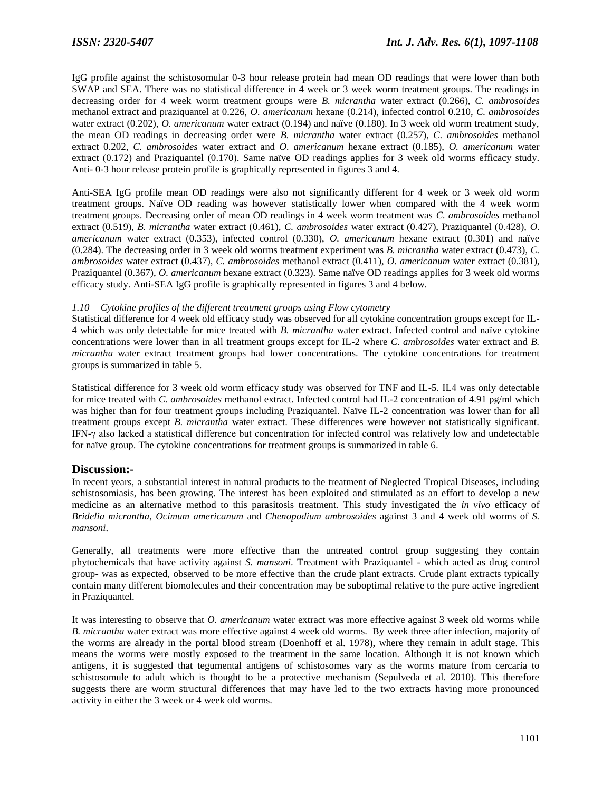IgG profile against the schistosomular 0-3 hour release protein had mean OD readings that were lower than both SWAP and SEA. There was no statistical difference in 4 week or 3 week worm treatment groups. The readings in decreasing order for 4 week worm treatment groups were *B. micrantha* water extract (0.266), *C. ambrosoides* methanol extract and praziquantel at 0.226, *O. americanum* hexane (0.214), infected control 0.210, *C. ambrosoides* water extract (0.202), *O. americanum* water extract (0.194) and naïve (0.180). In 3 week old worm treatment study, the mean OD readings in decreasing order were *B. micrantha* water extract (0.257), *C. ambrosoides* methanol extract 0.202, *C. ambrosoides* water extract and *O. americanum* hexane extract (0.185), *O. americanum* water extract (0.172) and Praziquantel (0.170). Same naïve OD readings applies for 3 week old worms efficacy study. Anti- 0-3 hour release protein profile is graphically represented in figures 3 and 4.

Anti-SEA IgG profile mean OD readings were also not significantly different for 4 week or 3 week old worm treatment groups. Naïve OD reading was however statistically lower when compared with the 4 week worm treatment groups. Decreasing order of mean OD readings in 4 week worm treatment was *C. ambrosoides* methanol extract (0.519), *B. micrantha* water extract (0.461), *C. ambrosoides* water extract (0.427), Praziquantel (0.428), *O. americanum* water extract (0.353), infected control (0.330), *O. americanum* hexane extract (0.301) and naïve (0.284). The decreasing order in 3 week old worms treatment experiment was *B. micrantha* water extract (0.473), *C. ambrosoides* water extract (0.437), *C. ambrosoides* methanol extract (0.411), *O. americanum* water extract (0.381), Praziquantel (0.367), *O. americanum* hexane extract (0.323). Same naïve OD readings applies for 3 week old worms efficacy study. Anti-SEA IgG profile is graphically represented in figures 3 and 4 below.

#### *1.10 Cytokine profiles of the different treatment groups using Flow cytometry*

Statistical difference for 4 week old efficacy study was observed for all cytokine concentration groups except for IL-4 which was only detectable for mice treated with *B. micrantha* water extract. Infected control and naïve cytokine concentrations were lower than in all treatment groups except for IL-2 where *C. ambrosoides* water extract and *B. micrantha* water extract treatment groups had lower concentrations. The cytokine concentrations for treatment groups is summarized in table 5.

Statistical difference for 3 week old worm efficacy study was observed for TNF and IL-5. IL4 was only detectable for mice treated with *C. ambrosoides* methanol extract. Infected control had IL-2 concentration of 4.91 pg/ml which was higher than for four treatment groups including Praziquantel. Naïve IL-2 concentration was lower than for all treatment groups except *B. micrantha* water extract. These differences were however not statistically significant. IFN-γ also lacked a statistical difference but concentration for infected control was relatively low and undetectable for naïve group. The cytokine concentrations for treatment groups is summarized in table 6.

## **Discussion:-**

In recent years, a substantial interest in natural products to the treatment of Neglected Tropical Diseases, including schistosomiasis, has been growing. The interest has been exploited and stimulated as an effort to develop a new medicine as an alternative method to this parasitosis treatment. This study investigated the *in vivo* efficacy of *Bridelia micrantha*, *Ocimum americanum* and *Chenopodium ambrosoides* against 3 and 4 week old worms of *S. mansoni*.

Generally, all treatments were more effective than the untreated control group suggesting they contain phytochemicals that have activity against *S. mansoni*. Treatment with Praziquantel - which acted as drug control group- was as expected, observed to be more effective than the crude plant extracts. Crude plant extracts typically contain many different biomolecules and their concentration may be suboptimal relative to the pure active ingredient in Praziquantel.

It was interesting to observe that *O. americanum* water extract was more effective against 3 week old worms while *B. micrantha* water extract was more effective against 4 week old worms. By week three after infection, majority of the worms are already in the portal blood stream (Doenhoff et al. 1978), where they remain in adult stage. This means the worms were mostly exposed to the treatment in the same location. Although it is not known which antigens, it is suggested that tegumental antigens of schistosomes vary as the worms mature from cercaria to schistosomule to adult which is thought to be a protective mechanism (Sepulveda et al. 2010). This therefore suggests there are worm structural differences that may have led to the two extracts having more pronounced activity in either the 3 week or 4 week old worms.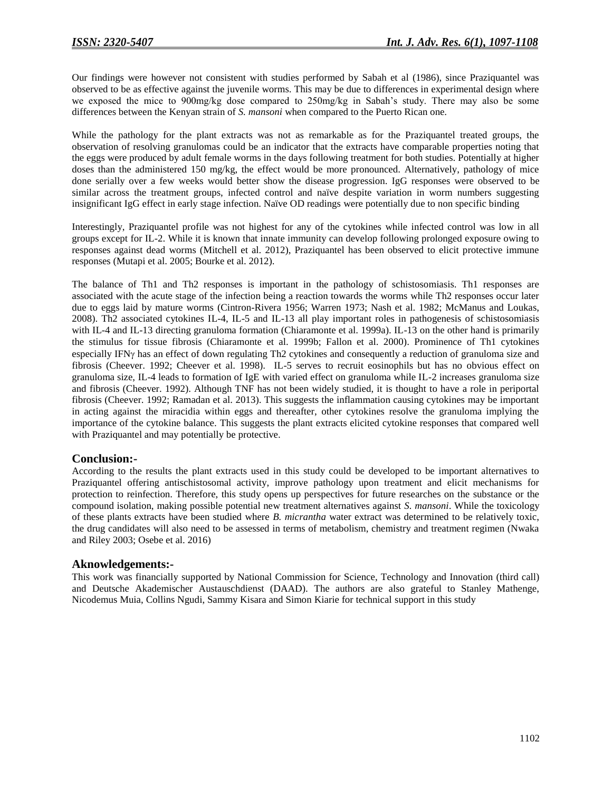Our findings were however not consistent with studies performed by Sabah et al (1986), since Praziquantel was observed to be as effective against the juvenile worms. This may be due to differences in experimental design where we exposed the mice to 900mg/kg dose compared to 250mg/kg in Sabah's study. There may also be some differences between the Kenyan strain of *S. mansoni* when compared to the Puerto Rican one.

While the pathology for the plant extracts was not as remarkable as for the Praziquantel treated groups, the observation of resolving granulomas could be an indicator that the extracts have comparable properties noting that the eggs were produced by adult female worms in the days following treatment for both studies. Potentially at higher doses than the administered 150 mg/kg, the effect would be more pronounced. Alternatively, pathology of mice done serially over a few weeks would better show the disease progression. IgG responses were observed to be similar across the treatment groups, infected control and naïve despite variation in worm numbers suggesting insignificant IgG effect in early stage infection. Naïve OD readings were potentially due to non specific binding

Interestingly, Praziquantel profile was not highest for any of the cytokines while infected control was low in all groups except for IL-2. While it is known that innate immunity can develop following prolonged exposure owing to responses against dead worms (Mitchell et al. 2012), Praziquantel has been observed to elicit protective immune responses (Mutapi et al. 2005; Bourke et al. 2012).

The balance of Th1 and Th2 responses is important in the pathology of schistosomiasis. Th1 responses are associated with the acute stage of the infection being a reaction towards the worms while Th2 responses occur later due to eggs laid by mature worms (Cintron-Rivera 1956; Warren 1973; Nash et al. 1982; McManus and Loukas, 2008). Th2 associated cytokines IL-4, IL-5 and IL-13 all play important roles in pathogenesis of schistosomiasis with IL-4 and IL-13 directing granuloma formation (Chiaramonte et al. 1999a). IL-13 on the other hand is primarily the stimulus for tissue fibrosis (Chiaramonte et al. 1999b; Fallon et al. 2000). Prominence of Th1 cytokines especially IFN<sub>Y</sub> has an effect of down regulating Th2 cytokines and consequently a reduction of granuloma size and fibrosis (Cheever. 1992; Cheever et al. 1998). IL-5 serves to recruit eosinophils but has no obvious effect on granuloma size, IL-4 leads to formation of IgE with varied effect on granuloma while IL-2 increases granuloma size and fibrosis (Cheever. 1992). Although TNF has not been widely studied, it is thought to have a role in periportal fibrosis (Cheever. 1992; Ramadan et al. 2013). This suggests the inflammation causing cytokines may be important in acting against the miracidia within eggs and thereafter, other cytokines resolve the granuloma implying the importance of the cytokine balance. This suggests the plant extracts elicited cytokine responses that compared well with Praziquantel and may potentially be protective.

## **Conclusion:-**

According to the results the plant extracts used in this study could be developed to be important alternatives to Praziquantel offering antischistosomal activity, improve pathology upon treatment and elicit mechanisms for protection to reinfection. Therefore, this study opens up perspectives for future researches on the substance or the compound isolation, making possible potential new treatment alternatives against *S. mansoni*. While the toxicology of these plants extracts have been studied where *B. micrantha* water extract was determined to be relatively toxic, the drug candidates will also need to be assessed in terms of metabolism, chemistry and treatment regimen (Nwaka and Riley 2003; Osebe et al. 2016)

#### **Aknowledgements:-**

This work was financially supported by National Commission for Science, Technology and Innovation (third call) and Deutsche Akademischer Austauschdienst (DAAD). The authors are also grateful to Stanley Mathenge, Nicodemus Muia, Collins Ngudi, Sammy Kisara and Simon Kiarie for technical support in this study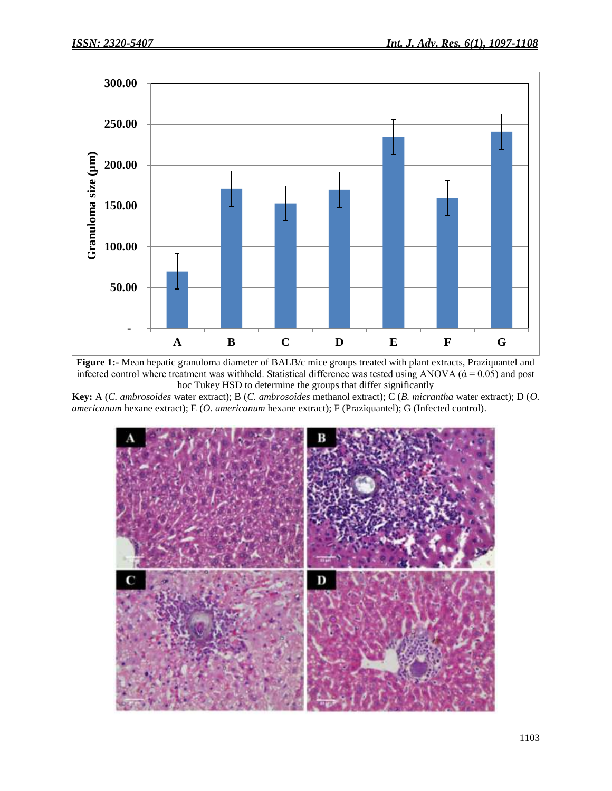

**Figure 1:-** Mean hepatic granuloma diameter of BALB/c mice groups treated with plant extracts, Praziquantel and infected control where treatment was withheld. Statistical difference was tested using ANOVA ( $\alpha$  = 0.05) and post hoc Tukey HSD to determine the groups that differ significantly

**Key:** A (*C. ambrosoides* water extract); B (*C. ambrosoides* methanol extract); C (*B. micrantha* water extract); D (*O. americanum* hexane extract); E (*O. americanum* hexane extract); F (Praziquantel); G (Infected control).

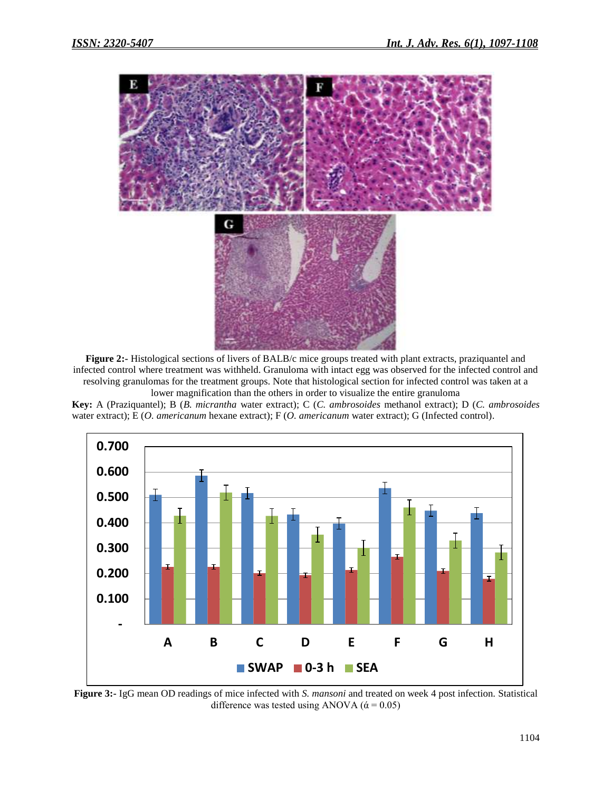

**Figure 2:-** Histological sections of livers of BALB/c mice groups treated with plant extracts, praziquantel and infected control where treatment was withheld. Granuloma with intact egg was observed for the infected control and resolving granulomas for the treatment groups. Note that histological section for infected control was taken at a lower magnification than the others in order to visualize the entire granuloma

**Key:** A (Praziquantel); B (*B. micrantha* water extract); C (*C. ambrosoides* methanol extract); D (*C. ambrosoides* water extract); E (*O. americanum* hexane extract); F (*O. americanum* water extract); G (Infected control).



**Figure 3:-** IgG mean OD readings of mice infected with *S. mansoni* and treated on week 4 post infection. Statistical difference was tested using ANOVA ( $\dot{\alpha} = 0.05$ )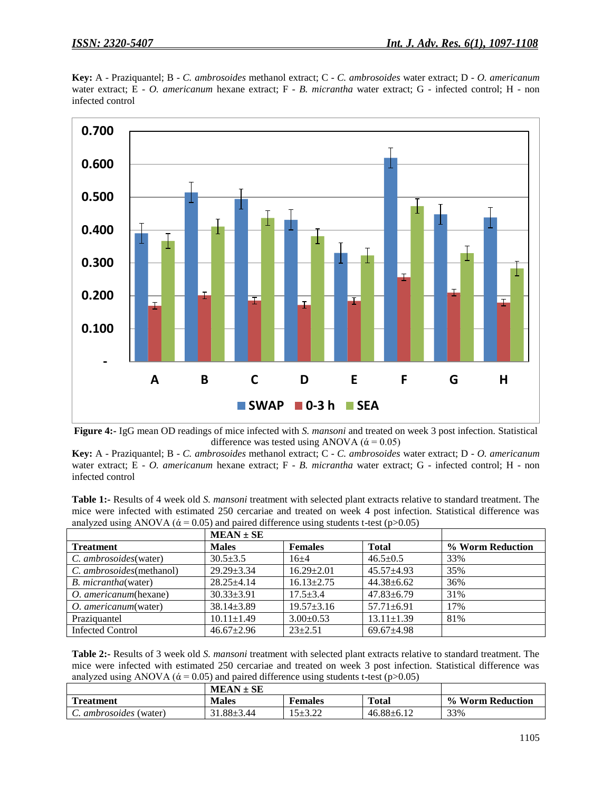



**Figure 4:-** IgG mean OD readings of mice infected with *S. mansoni* and treated on week 3 post infection. Statistical difference was tested using ANOVA ( $\dot{\alpha}$  = 0.05)

**Key:** A - Praziquantel; B - *C. ambrosoides* methanol extract; C - *C. ambrosoides* water extract; D - *O. americanum* water extract; E - *O. americanum* hexane extract; F - *B. micrantha* water extract; G - infected control; H - non infected control

**Table 1:-** Results of 4 week old *S. mansoni* treatment with selected plant extracts relative to standard treatment. The mice were infected with estimated 250 cercariae and treated on week 4 post infection. Statistical difference was analyzed using ANOVA ( $\alpha$  = 0.05) and paired difference using students t-test (p>0.05)

|                              | $MEAN \pm SE$    |                  |                  |                  |
|------------------------------|------------------|------------------|------------------|------------------|
| <b>Treatment</b>             | <b>Males</b>     | <b>Females</b>   | <b>Total</b>     | % Worm Reduction |
| C. ambrosoides(water)        | $30.5 + 3.5$     | $16+4$           | $46.5 \pm 0.5$   | 33%              |
| C. ambrosoides(methanol)     | $29.29 + 3.34$   | $16.29 + 2.01$   | $45.57 + 4.93$   | 35%              |
| <i>B. micrantha</i> (water)  | $28.25 + 4.14$   | $16.13 + 2.75$   | $44.38 + 6.62$   | 36%              |
| O. americanum(hexane)        | $30.33 \pm 3.91$ | $17.5 + 3.4$     | $47.83 \pm 6.79$ | 31%              |
| <i>O. americanum</i> (water) | $38.14 \pm 3.89$ | $19.57 \pm 3.16$ | $57.71 \pm 6.91$ | 17%              |
| Praziquantel                 | $10.11 \pm 1.49$ | $3.00+0.53$      | $13.11 \pm 1.39$ | 81%              |
| Infected Control             | $46.67 \pm 2.96$ | $23+2.51$        | $69.67 \pm 4.98$ |                  |

**Table 2:-** Results of 3 week old *S. mansoni* treatment with selected plant extracts relative to standard treatment. The mice were infected with estimated 250 cercariae and treated on week 3 post infection. Statistical difference was analyzed using ANOVA ( $\dot{\alpha}$  = 0.05) and paired difference using students t-test (p>0.05)

|                            | $MEAN \pm SE$ |            |                  |                                        |
|----------------------------|---------------|------------|------------------|----------------------------------------|
| <b>Part</b><br>Treatment   | <b>Males</b>  | Females    | <b>Total</b>     | <b>Worm Reduction</b><br>$\frac{0}{0}$ |
| <i>ambrosoides</i> (water) | 1.88±3.44     | $5 + 3.22$ | $46.88 \pm 6.12$ | 33%                                    |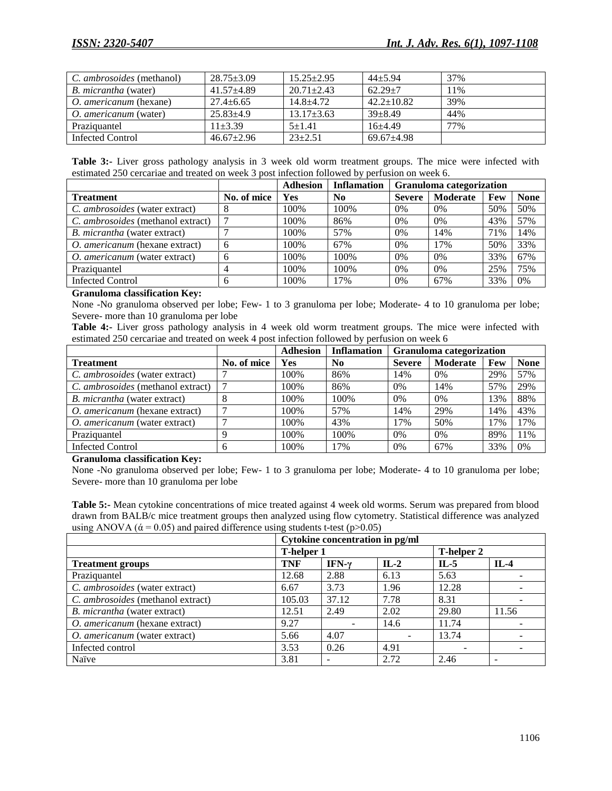| C. <i>ambrosoides</i> (methanol) | $28.75 \pm 3.09$ | $15.25 \pm 2.95$ | $44+5.94$        | 37% |
|----------------------------------|------------------|------------------|------------------|-----|
| <i>B. micrantha</i> (water)      | $41.57 + 4.89$   | $20.71 \pm 2.43$ | $62.29 + 7$      | 11% |
| O. americanum (hexane)           | $27.4 + 6.65$    | $14.8 + 4.72$    | $42.2 \pm 10.82$ | 39% |
| O. americanum (water)            | $25.83 + 4.9$    | $13.17 \pm 3.63$ | $39 + 8.49$      | 44% |
| Praziquantel                     | $11+3.39$        | $5+1.41$         | $16+4.49$        | 77% |
| Infected Control                 | $46.67 \pm 2.96$ | $23+2.51$        | $69.67 + 4.98$   |     |

|  |  | Table 3:- Liver gross pathology analysis in 3 week old worm treatment groups. The mice were infected with |  |  |  |  |  |  |
|--|--|-----------------------------------------------------------------------------------------------------------|--|--|--|--|--|--|
|  |  | estimated 250 cercariae and treated on week 3 post infection followed by perfusion on week 6.             |  |  |  |  |  |  |

|                                          |             | <b>Adhesion</b> | <b>Inflamation</b> | <b>Granuloma</b> categorization |                 |     |             |
|------------------------------------------|-------------|-----------------|--------------------|---------------------------------|-----------------|-----|-------------|
| <b>Treatment</b>                         | No. of mice | Yes             | N <sub>0</sub>     | <b>Severe</b>                   | <b>Moderate</b> | Few | <b>None</b> |
| C. ambrosoides (water extract)           |             | 100%            | 100%               | 0%                              | 0%              | 50% | 50%         |
| C. <i>ambrosoides</i> (methanol extract) |             | 100%            | 86%                | 0%                              | 0%              | 43% | 57%         |
| <i>B. micrantha</i> (water extract)      |             | 100%            | 57%                | 0%                              | 14%             | 71% | 14%         |
| <i>O. americanum</i> (hexane extract)    |             | 100%            | 67%                | 0%                              | 17%             | 50% | 33%         |
| O. americanum (water extract)            |             | 100%            | 100%               | 0%                              | 0%              | 33% | 67%         |
| Praziquantel                             |             | 100%            | 100%               | 0%                              | 0%              | 25% | 75%         |
| <b>Infected Control</b>                  |             | 100\%           | 17%                | 0%                              | 67%             | 33% | 0%          |

#### **Granuloma classification Key:**

None -No granuloma observed per lobe; Few- 1 to 3 granuloma per lobe; Moderate- 4 to 10 granuloma per lobe; Severe- more than 10 granuloma per lobe

**Table 4:-** Liver gross pathology analysis in 4 week old worm treatment groups. The mice were infected with estimated 250 cercariae and treated on week 4 post infection followed by perfusion on week 6

|                                      |              | <b>Adhesion</b> | <b>Inflamation</b> | <b>Granuloma</b> categorization |                 |     |             |
|--------------------------------------|--------------|-----------------|--------------------|---------------------------------|-----------------|-----|-------------|
| <b>Treatment</b>                     | No. of mice  | Yes             | N <sub>0</sub>     | <b>Severe</b>                   | <b>Moderate</b> | Few | <b>None</b> |
| C. ambrosoides (water extract)       |              | 100%            | 86%                | 14%                             | $0\%$           | 29% | 57%         |
| C. ambrosoides (methanol extract)    |              | 100%            | 86%                | $0\%$                           | 14%             | 57% | 29%         |
| B. micrantha (water extract)         | 8            | 100%            | 100%               | $0\%$                           | 0%              | 13% | 88%         |
| O. americanum (hexane extract)       | ⇁            | 100%            | 57%                | 14%                             | 29%             | 14% | 43%         |
| <i>O. americanum</i> (water extract) |              | 100%            | 43%                | 17%                             | 50%             | 17% | 17%         |
| Praziquantel                         | Q            | 100%            | 100\%              | $0\%$                           | 0%              | 89% | 11%         |
| Infected Control                     | <sub>0</sub> | 100%            | 17%                | $0\%$                           | 67%             | 33% | 0%          |

**Granuloma classification Key:**

None -No granuloma observed per lobe; Few- 1 to 3 granuloma per lobe; Moderate- 4 to 10 granuloma per lobe; Severe- more than 10 granuloma per lobe

**Table 5:-** Mean cytokine concentrations of mice treated against 4 week old worms. Serum was prepared from blood drawn from BALB/c mice treatment groups then analyzed using flow cytometry. Statistical difference was analyzed using ANOVA ( $\dot{\alpha}$  = 0.05) and paired difference using students t-test (p>0.05)

|                                   | Cytokine concentration in pg/ml |               |        |                   |        |  |  |
|-----------------------------------|---------------------------------|---------------|--------|-------------------|--------|--|--|
|                                   | <b>T-helper 1</b>               |               |        | <b>T-helper 2</b> |        |  |  |
| <b>Treatment groups</b>           | <b>TNF</b>                      | IFN- $\gamma$ | $IL-2$ | $IL-5$            | $IL-4$ |  |  |
| Praziquantel                      | 12.68                           | 2.88          | 6.13   | 5.63              |        |  |  |
| C. ambrosoides (water extract)    | 6.67                            | 3.73          | 1.96   | 12.28             |        |  |  |
| C. ambrosoides (methanol extract) | 105.03                          | 37.12         | 7.78   | 8.31              |        |  |  |
| B. micrantha (water extract)      | 12.51                           | 2.49          | 2.02   | 29.80             | 11.56  |  |  |
| O. americanum (hexane extract)    | 9.27                            |               | 14.6   | 11.74             |        |  |  |
| O. americanum (water extract)     | 5.66                            | 4.07          |        | 13.74             |        |  |  |
| Infected control                  | 3.53                            | 0.26          | 4.91   |                   |        |  |  |
| Naïve                             | 3.81                            |               | 2.72   | 2.46              |        |  |  |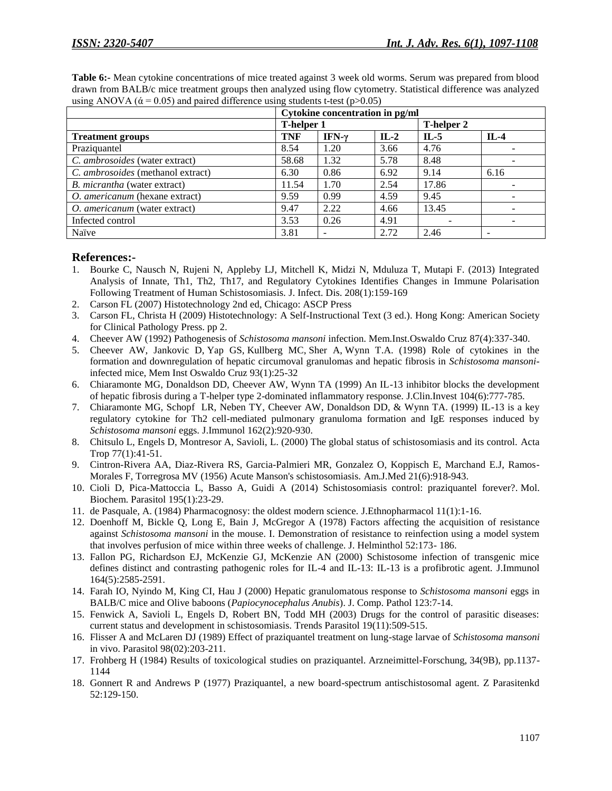|                                       | Cytokine concentration in pg/ml |                          |        |                   |        |  |  |  |
|---------------------------------------|---------------------------------|--------------------------|--------|-------------------|--------|--|--|--|
|                                       | <b>T-helper 1</b>               |                          |        | <b>T-helper 2</b> |        |  |  |  |
| <b>Treatment groups</b>               | <b>TNF</b>                      | IFN- $\gamma$            | $IL-2$ | $IL-5$            | $IL-4$ |  |  |  |
| Praziquantel                          | 8.54                            | 1.20                     | 3.66   | 4.76              |        |  |  |  |
| C. ambrosoides (water extract)        | 58.68                           | 1.32                     | 5.78   | 8.48              |        |  |  |  |
| C. ambrosoides (methanol extract)     | 6.30                            | 0.86                     | 6.92   | 9.14              | 6.16   |  |  |  |
| B. <i>micrantha</i> (water extract)   | 11.54                           | 1.70                     | 2.54   | 17.86             |        |  |  |  |
| <i>O. americanum</i> (hexane extract) | 9.59                            | 0.99                     | 4.59   | 9.45              |        |  |  |  |
| O. americanum (water extract)         | 9.47                            | 2.22                     | 4.66   | 13.45             |        |  |  |  |
| Infected control                      | 3.53                            | 0.26                     | 4.91   |                   |        |  |  |  |
| Naïve                                 | 3.81                            | $\overline{\phantom{a}}$ | 2.72   | 2.46              |        |  |  |  |

**Table 6:-** Mean cytokine concentrations of mice treated against 3 week old worms. Serum was prepared from blood drawn from BALB/c mice treatment groups then analyzed using flow cytometry. Statistical difference was analyzed using ANOVA ( $\alpha$  = 0.05) and paired difference using students t-test (p>0.05)

## **References:-**

- 1. Bourke C, Nausch N, Rujeni N, Appleby LJ, Mitchell K, Midzi N, Mduluza T, Mutapi F. (2013) Integrated Analysis of Innate, Th1, Th2, Th17, and Regulatory Cytokines Identifies Changes in Immune Polarisation Following Treatment of Human Schistosomiasis. J. Infect. Dis. 208(1):159-169
- 2. Carson FL (2007) Histotechnology 2nd ed, Chicago: ASCP Press
- 3. Carson FL, Christa H (2009) Histotechnology: A Self-Instructional Text (3 ed.). Hong Kong: American Society for Clinical Pathology Press. pp 2.
- 4. Cheever AW (1992) Pathogenesis of *Schistosoma mansoni* infection. Mem.Inst.Oswaldo Cruz 87(4):337-340.
- 5. [Cheever AW,](http://www.ncbi.nlm.nih.gov/pubmed/?term=Cheever%20AW%5BAuthor%5D&cauthor=true&cauthor_uid=9921320) [Jankovic D,](http://www.ncbi.nlm.nih.gov/pubmed/?term=Jankovic%20D%5BAuthor%5D&cauthor=true&cauthor_uid=9921320) [Yap GS,](http://www.ncbi.nlm.nih.gov/pubmed/?term=Yap%20GS%5BAuthor%5D&cauthor=true&cauthor_uid=9921320) [Kullberg MC,](http://www.ncbi.nlm.nih.gov/pubmed/?term=Kullberg%20MC%5BAuthor%5D&cauthor=true&cauthor_uid=9921320) [Sher A,](http://www.ncbi.nlm.nih.gov/pubmed/?term=Sher%20A%5BAuthor%5D&cauthor=true&cauthor_uid=9921320) [Wynn T.A.](http://www.ncbi.nlm.nih.gov/pubmed/?term=Wynn%20TA%5BAuthor%5D&cauthor=true&cauthor_uid=9921320) (1998) Role of cytokines in the formation and downregulation of hepatic circumoval granulomas and hepatic fibrosis in *Schistosoma mansoni*infected mice, Mem Inst Oswaldo Cruz 93(1):25-32
- 6. Chiaramonte MG, Donaldson DD, Cheever AW, Wynn TA (1999) An IL-13 inhibitor blocks the development of hepatic fibrosis during a T-helper type 2-dominated inflammatory response. J.Clin.Invest 104(6):777-785.
- 7. Chiaramonte MG, Schopf LR, Neben TY, Cheever AW, Donaldson DD, & Wynn TA. (1999) IL-13 is a key regulatory cytokine for Th2 cell-mediated pulmonary granuloma formation and IgE responses induced by *Schistosoma mansoni* eggs. J.Immunol 162(2):920-930.
- 8. Chitsulo L, Engels D, Montresor A, Savioli, L. (2000) The global status of schistosomiasis and its control. Acta Trop 77(1):41-51.
- 9. Cintron-Rivera AA, Diaz-Rivera RS, Garcia-Palmieri MR, Gonzalez O, Koppisch E, Marchand E.J, Ramos-Morales F, Torregrosa MV (1956) Acute Manson's schistosomiasis. Am.J.Med 21(6):918-943.
- 10. Cioli D, Pica-Mattoccia L, Basso A, Guidi A (2014) Schistosomiasis control: praziquantel forever?. Mol. Biochem. Parasitol 195(1):23-29.
- 11. de Pasquale, A. (1984) Pharmacognosy: the oldest modern science. J.Ethnopharmacol 11(1):1-16.
- 12. Doenhoff M, Bickle Q, Long E, Bain J, McGregor A (1978) Factors affecting the acquisition of resistance against *Schistosoma mansoni* in the mouse. I. Demonstration of resistance to reinfection using a model system that involves perfusion of mice within three weeks of challenge. J. Helminthol 52:173- 186.
- 13. Fallon PG, Richardson EJ, McKenzie GJ, McKenzie AN (2000) Schistosome infection of transgenic mice defines distinct and contrasting pathogenic roles for IL-4 and IL-13: IL-13 is a profibrotic agent. J.Immunol 164(5):2585-2591.
- 14. Farah IO, Nyindo M, King CI, Hau J (2000) Hepatic granulomatous response to *Schistosoma mansoni* eggs in BALB/C mice and Olive baboons (*Papiocynocephalus Anubis*). J. Comp. Pathol 123:7-14.
- 15. Fenwick A, Savioli L, Engels D, Robert BN, Todd MH (2003) Drugs for the control of parasitic diseases: current status and development in schistosomiasis. Trends Parasitol 19(11):509-515.
- 16. Flisser A and McLaren DJ (1989) Effect of praziquantel treatment on lung-stage larvae of *Schistosoma mansoni* in vivo. Parasitol 98(02):203-211.
- 17. Frohberg H (1984) Results of toxicological studies on praziquantel. Arzneimittel-Forschung, 34(9B), pp.1137- 1144
- 18. Gonnert R and Andrews P (1977) Praziquantel, a new board-spectrum antischistosomal agent. Z Parasitenkd 52:129-150.